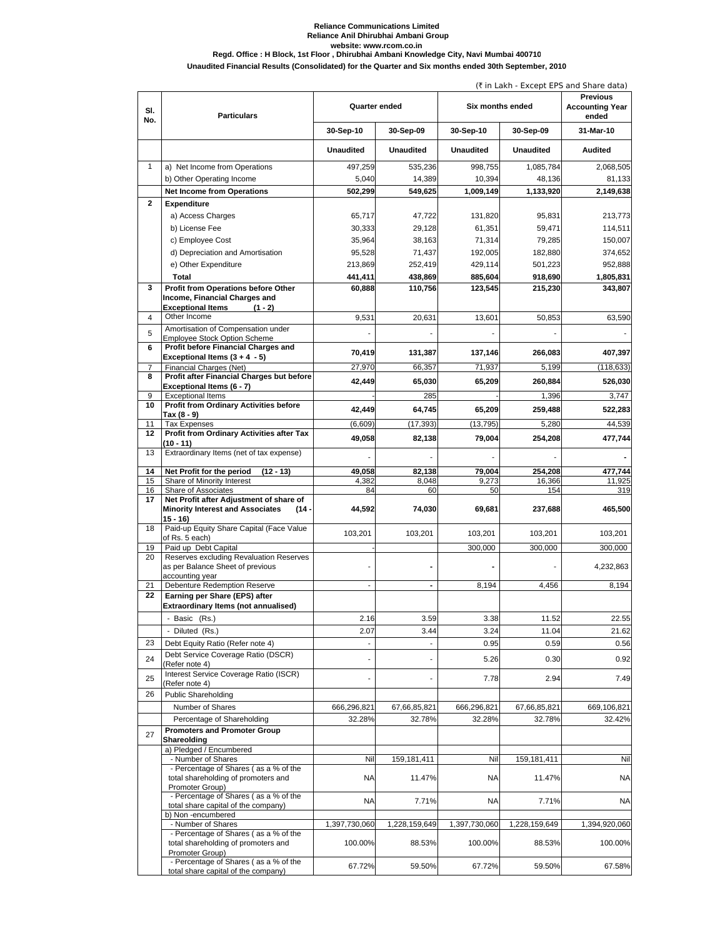## **Reliance Communications Limited Reliance Anil Dhirubhai Ambani Group website: www.rcom.co.in Regd. Office : H Block, 1st Floor , Dhirubhai Ambani Knowledge City, Navi Mumbai 400710**

**Unaudited Financial Results (Consolidated) for the Quarter and Six months ended 30th September, 2010**

(` in Lakh - Except EPS and Share data)

| SI.            | <b>Particulars</b>                                                                              | Quarter ended            |                  | Six months ended |                  | <b>Previous</b><br><b>Accounting Year</b><br>ended |
|----------------|-------------------------------------------------------------------------------------------------|--------------------------|------------------|------------------|------------------|----------------------------------------------------|
| No.            |                                                                                                 | 30-Sep-10                | 30-Sep-09        | 30-Sep-10        | 30-Sep-09        | 31-Mar-10                                          |
|                |                                                                                                 | <b>Unaudited</b>         | <b>Unaudited</b> | <b>Unaudited</b> | <b>Unaudited</b> | Audited                                            |
| 1              | a) Net Income from Operations                                                                   | 497.259                  | 535,236          | 998,755          | 1,085,784        | 2,068,505                                          |
|                | b) Other Operating Income                                                                       | 5,040                    | 14,389           | 10,394           | 48,136           | 81,133                                             |
|                | <b>Net Income from Operations</b>                                                               | 502,299                  | 549,625          | 1,009,149        | 1,133,920        | 2,149,638                                          |
| $\mathbf{2}$   | <b>Expenditure</b>                                                                              |                          |                  |                  |                  |                                                    |
|                | a) Access Charges                                                                               | 65,717                   | 47,722           | 131,820          | 95,831           | 213,773                                            |
|                | b) License Fee                                                                                  | 30,333                   | 29,128           | 61,351           | 59,471           | 114,511                                            |
|                | c) Employee Cost                                                                                | 35,964                   | 38,163           | 71,314           | 79,285           | 150,007                                            |
|                | d) Depreciation and Amortisation                                                                | 95,528                   | 71,437           | 192,005          | 182,880          | 374,652                                            |
|                | e) Other Expenditure                                                                            | 213,869                  | 252,419          | 429,114          | 501,223          | 952,888                                            |
|                | Total                                                                                           | 441,411                  | 438,869          | 885,604          | 918,690          | 1,805,831                                          |
| 3              | Profit from Operations before Other                                                             | 60,888                   | 110,756          | 123,545          | 215,230          | 343,807                                            |
|                | Income, Financial Charges and                                                                   |                          |                  |                  |                  |                                                    |
|                | <b>Exceptional Items</b><br>$(1 - 2)$                                                           |                          |                  |                  |                  |                                                    |
| 4              | Other Income                                                                                    | 9,531                    | 20,631           | 13,601           | 50,853           | 63,590                                             |
| 5              | Amortisation of Compensation under<br><b>Employee Stock Option Scheme</b>                       |                          |                  |                  |                  |                                                    |
| 6              | Profit before Financial Charges and                                                             | 70,419                   | 131,387          | 137,146          | 266,083          | 407,397                                            |
| $\overline{7}$ | Exceptional Items $(3 + 4 - 5)$<br>Financial Charges (Net)                                      | 27,970                   | 66,357           | 71,937           | 5,199            | (118, 633)                                         |
| 8              | Profit after Financial Charges but before                                                       |                          |                  |                  |                  |                                                    |
|                | Exceptional Items (6 - 7)                                                                       | 42,449                   | 65,030           | 65,209           | 260,884          | 526,030                                            |
| 9              | <b>Exceptional Items</b>                                                                        |                          | 285              |                  | 1,396            | 3,747                                              |
| 10             | <b>Profit from Ordinary Activities before</b>                                                   | 42,449                   | 64,745           | 65,209           | 259,488          | 522,283                                            |
| 11             | Tax (8 - 9)<br><b>Tax Expenses</b>                                                              | (6.609)                  | (17, 393)        | (13, 795)        | 5,280            | 44,539                                             |
| 12             | Profit from Ordinary Activities after Tax                                                       |                          |                  |                  |                  |                                                    |
|                | (10 - 11)                                                                                       | 49,058                   | 82,138           | 79,004           | 254,208          | 477,744                                            |
| 13             | Extraordinary Items (net of tax expense)                                                        |                          |                  |                  |                  |                                                    |
| 14             | Net Profit for the period<br>$(12 - 13)$                                                        | 49,058                   | 82,138           | 79,004           | 254,208          | 477,744                                            |
| 15             | Share of Minority Interest                                                                      | 4,382                    | 8,048            | 9,273            | 16,366           | 11,925                                             |
| 16<br>17       | Share of Associates<br>Net Profit after Adjustment of share of                                  | 84                       | 60               | 50               | 154              | 319                                                |
|                | <b>Minority Interest and Associates</b><br>$(14 -$                                              | 44,592                   | 74,030           | 69,681           | 237,688          | 465,500                                            |
|                |                                                                                                 |                          |                  |                  |                  |                                                    |
| 18             | $15 - 16$<br>Paid-up Equity Share Capital (Face Value                                           | 103,201                  | 103,201          | 103,201          | 103,201          | 103,201                                            |
| 19             | of Rs. 5 each)<br>Paid up Debt Capital                                                          |                          |                  | 300,000          | 300,000          | 300,000                                            |
| 20             | Reserves excluding Revaluation Reserves                                                         |                          |                  |                  |                  |                                                    |
|                | as per Balance Sheet of previous                                                                |                          | $\blacksquare$   |                  |                  | 4,232,863                                          |
|                | accounting year                                                                                 | $\overline{\phantom{a}}$ | $\blacksquare$   |                  |                  |                                                    |
| 21<br>22       | <b>Debenture Redemption Reserve</b><br>Earning per Share (EPS) after                            |                          |                  | 8,194            | 4,456            | 8,194                                              |
|                | Extraordinary Items (not annualised)                                                            |                          |                  |                  |                  |                                                    |
|                | - Basic (Rs.)                                                                                   | 2.16                     | 3.59             | 3.38             | 11.52            |                                                    |
|                | - Diluted (Rs.)                                                                                 | 2.07                     | 3.44             | 3.24             | 11.04            |                                                    |
| 23             | Debt Equity Ratio (Refer note 4)                                                                |                          |                  | 0.95             | 0.59             | 0.56                                               |
|                | Debt Service Coverage Ratio (DSCR)                                                              |                          |                  |                  |                  |                                                    |
| 24             | (Refer note 4)                                                                                  |                          | $\overline{a}$   | 5.26             | 0.30             |                                                    |
| 25             | Interest Service Coverage Ratio (ISCR)                                                          |                          |                  | 7.78             | 2.94             |                                                    |
|                | (Refer note 4)                                                                                  |                          |                  |                  |                  |                                                    |
| 26             | <b>Public Shareholding</b>                                                                      |                          |                  |                  |                  | 21.62<br>0.92<br>7.49                              |
|                | Number of Shares                                                                                | 666,296,821              | 67,66,85,821     | 666,296,821      | 67,66,85,821     | 669,106,821                                        |
|                | Percentage of Shareholding                                                                      | 32.28%                   | 32.78%           | 32.28%           | 32.78%           | 32.42%                                             |
| 27             | <b>Promoters and Promoter Group</b><br>Shareolding                                              |                          |                  |                  |                  |                                                    |
|                | a) Pledged / Encumbered                                                                         |                          |                  |                  |                  |                                                    |
|                | - Number of Shares                                                                              | Nil                      | 159,181,411      | Nil              | 159,181,411      |                                                    |
|                | - Percentage of Shares (as a % of the<br>total shareholding of promoters and                    | NA                       | 11.47%           | ΝA               | 11.47%           |                                                    |
|                | Promoter Group)<br>- Percentage of Shares (as a % of the                                        |                          |                  |                  |                  |                                                    |
|                | total share capital of the company)                                                             | <b>NA</b>                | 7.71%            | <b>NA</b>        | 7.71%            | NA                                                 |
|                | b) Non-encumbered                                                                               |                          |                  |                  |                  |                                                    |
|                | - Number of Shares<br>- Percentage of Shares (as a % of the                                     | 1,397,730,060            | 1,228,159,649    | 1,397,730,060    | 1,228,159,649    | 22.55<br>Nil<br><b>NA</b><br>1,394,920,060         |
|                | total shareholding of promoters and<br>Promoter Group)<br>- Percentage of Shares (as a % of the | 100.00%                  | 88.53%           | 100.00%          | 88.53%           | 100.00%                                            |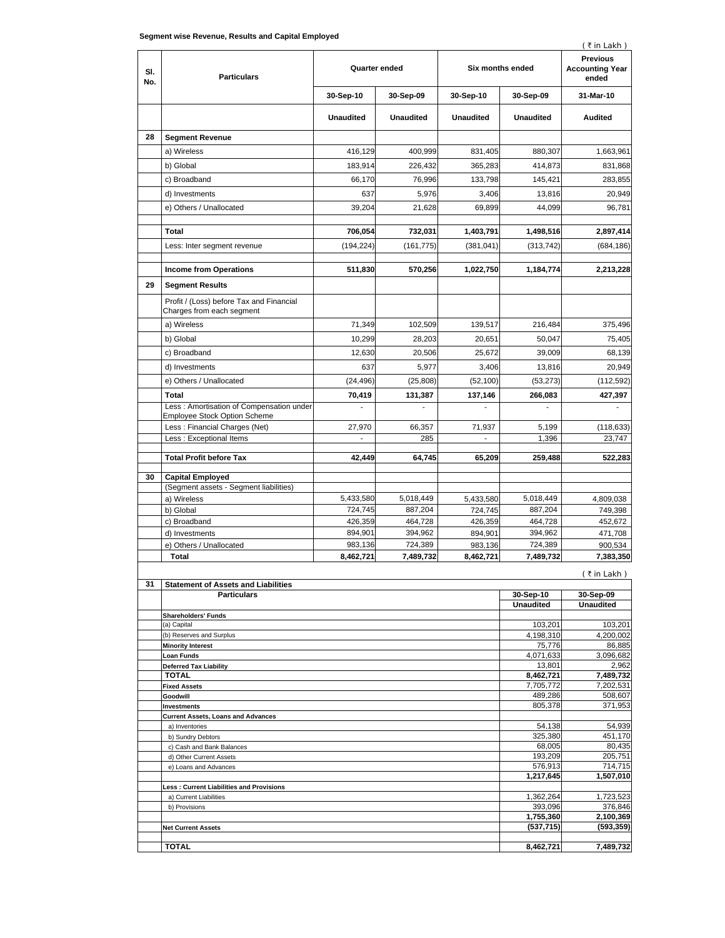## **Segment wise Revenue, Results and Capital Employed**

|            |                                                                                  |                      |                    |                      |                    | (₹in Lakh)                                         |
|------------|----------------------------------------------------------------------------------|----------------------|--------------------|----------------------|--------------------|----------------------------------------------------|
| SI.<br>No. | <b>Particulars</b>                                                               | <b>Quarter ended</b> |                    | Six months ended     |                    | <b>Previous</b><br><b>Accounting Year</b><br>ended |
|            |                                                                                  | 30-Sep-10            | 30-Sep-09          | 30-Sep-10            | 30-Sep-09          | 31-Mar-10                                          |
|            |                                                                                  | <b>Unaudited</b>     | <b>Unaudited</b>   | <b>Unaudited</b>     | <b>Unaudited</b>   | Audited                                            |
| 28         | <b>Segment Revenue</b>                                                           |                      |                    |                      |                    |                                                    |
|            | a) Wireless                                                                      | 416,129              | 400,999            | 831,405              | 880,307            | 1,663,961                                          |
|            | b) Global                                                                        | 183,914              | 226,432            | 365,283              | 414,873            | 831,868                                            |
|            | c) Broadband                                                                     | 66,170               | 76,996             | 133,798              | 145,421            | 283,855                                            |
|            | d) Investments                                                                   | 637                  | 5,976              | 3,406                | 13,816             | 20,949                                             |
|            | e) Others / Unallocated                                                          | 39,204               | 21,628             | 69.899               | 44.099             | 96,781                                             |
|            |                                                                                  |                      |                    |                      |                    |                                                    |
|            | Total                                                                            | 706,054              | 732,031            | 1,403,791            | 1,498,516          | 2,897,414                                          |
|            | Less: Inter segment revenue                                                      | (194, 224)           | (161, 775)         | (381, 041)           | (313, 742)         | (684, 186)                                         |
|            |                                                                                  |                      |                    |                      |                    |                                                    |
|            | <b>Income from Operations</b>                                                    | 511,830              | 570,256            | 1,022,750            | 1,184,774          | 2,213,228                                          |
| 29         | <b>Segment Results</b>                                                           |                      |                    |                      |                    |                                                    |
|            | Profit / (Loss) before Tax and Financial<br>Charges from each segment            |                      |                    |                      |                    |                                                    |
|            | a) Wireless                                                                      | 71,349               | 102,509            | 139,517              | 216,484            | 375,496                                            |
|            | b) Global                                                                        | 10,299               | 28,203             | 20,651               | 50,047             | 75,405                                             |
|            | c) Broadband                                                                     | 12,630               | 20,506             | 25,672               | 39,009             | 68,139                                             |
|            | d) Investments                                                                   | 637                  | 5,977              | 3,406                | 13,816             | 20,949                                             |
|            | e) Others / Unallocated                                                          | (24, 496)            | (25, 808)          | (52, 100)            | (53, 273)          | (112, 592)                                         |
|            | <b>Total</b>                                                                     | 70,419               | 131,387            | 137,146              | 266,083            | 427,397                                            |
|            | Less : Amortisation of Compensation under<br><b>Employee Stock Option Scheme</b> | $\overline{a}$       | $\blacksquare$     | $\overline{a}$       |                    |                                                    |
|            | Less: Financial Charges (Net)                                                    | 27,970               | 66,357             | 71,937               | 5,199              | (118, 633)                                         |
|            | Less : Exceptional Items                                                         | $\overline{a}$       | 285                | $\frac{1}{2}$        | 1,396              | 23,747                                             |
|            | <b>Total Profit before Tax</b>                                                   | 42,449               | 64,745             | 65,209               | 259,488            | 522,283                                            |
| 30         | <b>Capital Employed</b>                                                          |                      |                    |                      |                    |                                                    |
|            | (Segment assets - Segment liabilities)                                           |                      |                    |                      |                    |                                                    |
|            | a) Wireless                                                                      | 5,433,580            | 5,018,449          | 5,433,580            | 5,018,449          | 4,809,038                                          |
|            | b) Global                                                                        | 724,745              | 887,204            | 724,745              | 887,204            | 749,398                                            |
|            | c) Broadband                                                                     | 426,359              | 464,728            | 426,359              | 464,728            | 452,672                                            |
|            | d) Investments                                                                   | 894,901<br>983,136   | 394,962<br>724,389 | 894,901              | 394,962<br>724,389 | 471,708                                            |
|            | e) Others / Unallocated<br><b>Total</b>                                          | 8,462,721            | 7,489,732          | 983,136<br>8,462,721 | 7,489,732          | 900,534<br>7,383,350                               |
|            |                                                                                  |                      |                    |                      |                    |                                                    |
| 31         | <b>Statement of Assets and Liabilities</b>                                       |                      |                    |                      |                    | (₹in Lakh)                                         |
|            | <b>Particulars</b>                                                               |                      |                    |                      | 30-Sep-10          | 30-Sep-09                                          |
|            |                                                                                  |                      |                    |                      | <b>Unaudited</b>   | <b>Unaudited</b>                                   |
|            | <b>Shareholders' Funds</b><br>(a) Capital                                        |                      |                    |                      | 103,201            | 103,201                                            |
|            | (b) Reserves and Surplus                                                         |                      |                    |                      | 4.198.310          | 4.200.002                                          |

| <b>Shareholders' Funds</b>                      |            |            |
|-------------------------------------------------|------------|------------|
| (a) Capital                                     | 103,201    | 103,201    |
| (b) Reserves and Surplus                        | 4,198,310  | 4,200,002  |
| <b>Minority Interest</b>                        | 75,776     | 86,885     |
| <b>Loan Funds</b>                               | 4,071,633  | 3,096,682  |
| <b>Deferred Tax Liability</b>                   | 13,801     | 2,962      |
| <b>TOTAL</b>                                    | 8,462,721  | 7,489,732  |
| <b>Fixed Assets</b>                             | 7,705,772  | 7,202,531  |
| Goodwill                                        | 489,286    | 508,607    |
| Investments                                     | 805,378    | 371,953    |
| <b>Current Assets, Loans and Advances</b>       |            |            |
| a) Inventories                                  | 54,138     | 54,939     |
| b) Sundry Debtors                               | 325,380    | 451,170    |
| c) Cash and Bank Balances                       | 68,005     | 80,435     |
| d) Other Current Assets                         | 193,209    | 205,751    |
| e) Loans and Advances                           | 576,913    | 714,715    |
|                                                 | 1,217,645  | 1,507,010  |
| <b>Less: Current Liabilities and Provisions</b> |            |            |
| a) Current Liabilities                          | 1,362,264  | 1,723,523  |
| b) Provisions                                   | 393,096    | 376,846    |
|                                                 | 1,755,360  | 2,100,369  |
| <b>Net Current Assets</b>                       | (537, 715) | (593, 359) |
|                                                 |            |            |
| <b>TOTAL</b>                                    | 8,462,721  | 7,489,732  |
|                                                 |            |            |